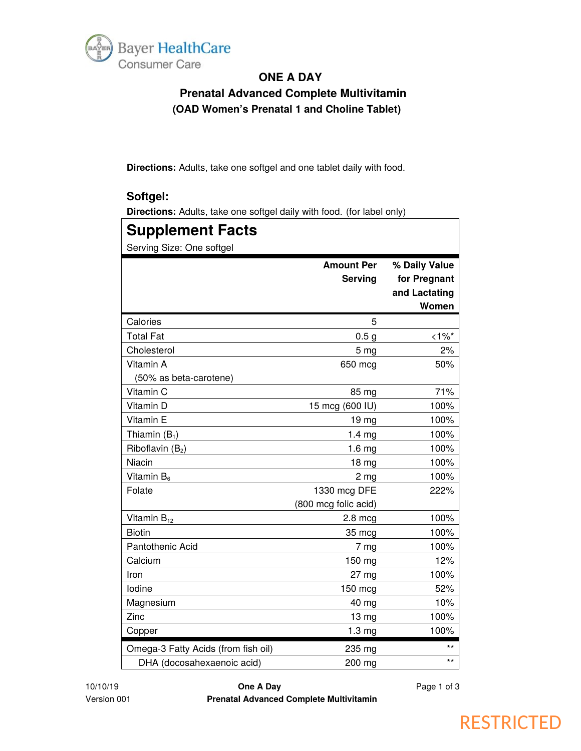

# **ONE A DAY**

 **Prenatal Advanced Complete Multivitamin (OAD Women's Prenatal 1 and Choline Tablet)**

**Directions:** Adults, take one softgel and one tablet daily with food.

#### **Softgel:**

**Directions:** Adults, take one softgel daily with food. (for label only)

| <b>Supplement Facts</b>             |                                      |                                                         |  |  |
|-------------------------------------|--------------------------------------|---------------------------------------------------------|--|--|
| Serving Size: One softgel           |                                      |                                                         |  |  |
|                                     | <b>Amount Per</b><br><b>Serving</b>  | % Daily Value<br>for Pregnant<br>and Lactating<br>Women |  |  |
| Calories                            | 5                                    |                                                         |  |  |
| <b>Total Fat</b>                    | 0.5 <sub>g</sub>                     | $<1\%$ *                                                |  |  |
| Cholesterol                         | 5 <sub>mg</sub>                      | 2%                                                      |  |  |
| Vitamin A                           | 650 mcg                              | 50%                                                     |  |  |
| (50% as beta-carotene)              |                                      |                                                         |  |  |
| Vitamin C                           | 85 mg                                | 71%                                                     |  |  |
| Vitamin D                           | 15 mcg (600 IU)                      | 100%                                                    |  |  |
| Vitamin E                           | 19 mg                                | 100%                                                    |  |  |
| Thiamin $(B_1)$                     | 1.4 <sub>mg</sub>                    | 100%                                                    |  |  |
| Riboflavin $(B_2)$                  | 1.6 <sub>mg</sub>                    | 100%                                                    |  |  |
| Niacin                              | 18 mg                                | 100%                                                    |  |  |
| Vitamin B <sub>6</sub>              | 2 <sub>mg</sub>                      | 100%                                                    |  |  |
| Folate                              | 1330 mcg DFE<br>(800 mcg folic acid) | 222%                                                    |  |  |
| Vitamin $B_{12}$                    | $2.8 \text{ mcg}$                    | 100%                                                    |  |  |
| <b>Biotin</b>                       | 35 mcg                               | 100%                                                    |  |  |
| Pantothenic Acid                    | 7 <sub>mg</sub>                      | 100%                                                    |  |  |
| Calcium                             | 150 mg                               | 12%                                                     |  |  |
| Iron                                | 27 <sub>mg</sub>                     | 100%                                                    |  |  |
| lodine                              | 150 mcg                              | 52%                                                     |  |  |
| Magnesium                           | 40 mg                                | 10%                                                     |  |  |
| Zinc                                | 13 mg                                | 100%                                                    |  |  |
| Copper                              | 1.3 <sub>mg</sub>                    | 100%                                                    |  |  |
| Omega-3 Fatty Acids (from fish oil) | 235 mg                               | $^{\star\star}$                                         |  |  |
| DHA (docosahexaenoic acid)          | 200 mg                               | $***$                                                   |  |  |

10/10/19 **One A Day** Page 1 of 3 Version 001 **Prenatal Advanced Complete Multivitamin**

# **RESTRICTED**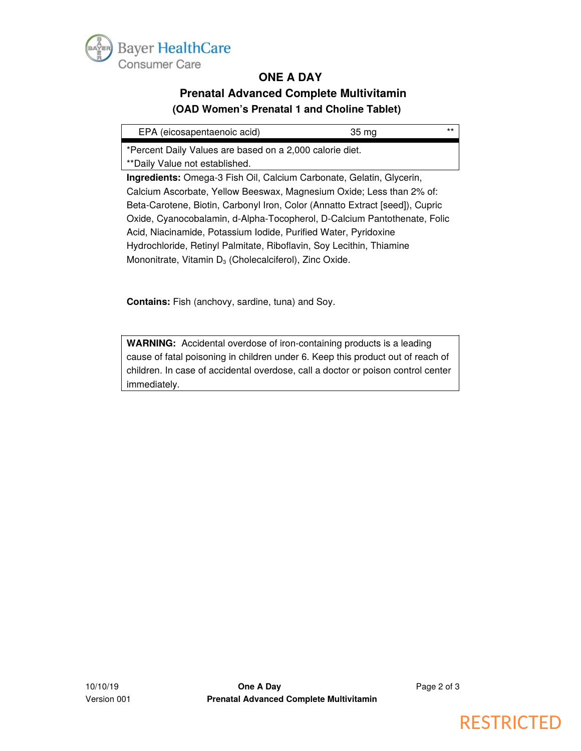

#### **ONE A DAY**

# **Prenatal Advanced Complete Multivitamin (OAD Women's Prenatal 1 and Choline Tablet)**

| EPA (eicosapentaenoic acid)                                                  | 35 mg | $***$ |  |
|------------------------------------------------------------------------------|-------|-------|--|
| *Percent Daily Values are based on a 2,000 calorie diet.                     |       |       |  |
| ** Daily Value not established.                                              |       |       |  |
| <b>Ingredients:</b> Omega-3 Fish Oil, Calcium Carbonate, Gelatin, Glycerin,  |       |       |  |
| Calcium Ascorbate, Yellow Beeswax, Magnesium Oxide; Less than 2% of:         |       |       |  |
| Beta-Carotene, Biotin, Carbonyl Iron, Color (Annatto Extract [seed]), Cupric |       |       |  |
| Oxide, Cyanocobalamin, d-Alpha-Tocopherol, D-Calcium Pantothenate, Folic     |       |       |  |
| Acid, Niacinamide, Potassium Iodide, Purified Water, Pyridoxine              |       |       |  |
| Hydrochloride, Retinyl Palmitate, Riboflavin, Soy Lecithin, Thiamine         |       |       |  |
| Mononitrate, Vitamin $D_3$ (Cholecalciferol), Zinc Oxide.                    |       |       |  |

**Contains:** Fish (anchovy, sardine, tuna) and Soy.

**WARNING:** Accidental overdose of iron-containing products is a leading cause of fatal poisoning in children under 6. Keep this product out of reach of children. In case of accidental overdose, call a doctor or poison control center immediately.

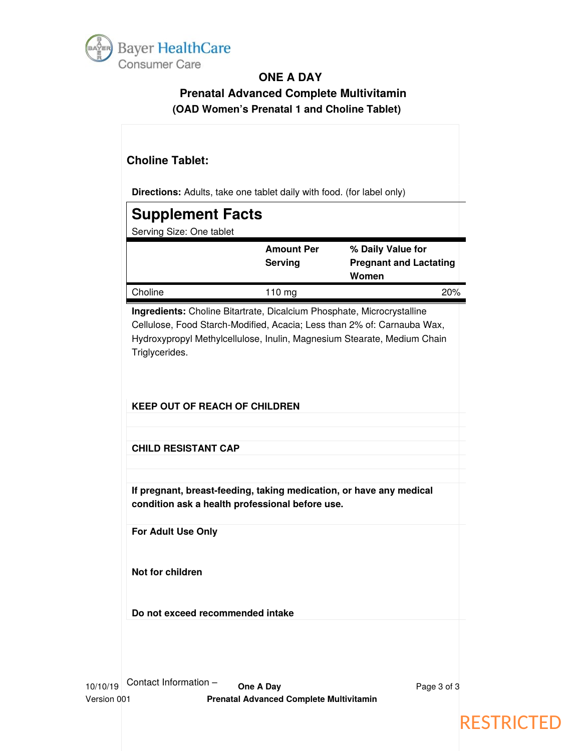

# **ONE A DAY**

# **Prenatal Advanced Complete Multivitamin (OAD Women's Prenatal 1 and Choline Tablet)**

# **Choline Tablet:**

**Directions:** Adults, take one tablet daily with food. (for label only)

| <b>Directions.</b> Addits, take one tablet daily with lood. (for label only)             |                                     |                                                             |  |
|------------------------------------------------------------------------------------------|-------------------------------------|-------------------------------------------------------------|--|
| <b>Supplement Facts</b>                                                                  |                                     |                                                             |  |
| Serving Size: One tablet                                                                 |                                     |                                                             |  |
|                                                                                          | <b>Amount Per</b><br><b>Serving</b> | % Daily Value for<br><b>Pregnant and Lactating</b><br>Women |  |
| Choline                                                                                  | $110 \text{ mg}$                    | 20%                                                         |  |
| to considerate. Also Prosecutions in Providence Place at a latter and analysis in the co |                                     |                                                             |  |

**Ingredients:** Choline Bitartrate, Dicalcium Phosphate, Microcrystalline Cellulose, Food Starch-Modified, Acacia; Less than 2% of: Carnauba Wax, Hydroxypropyl Methylcellulose, Inulin, Magnesium Stearate, Medium Chain Triglycerides.

**KEEP OUT OF REACH OF CHILDREN**

**CHILD RESISTANT CAP**

**If pregnant, breast-feeding, taking medication, or have any medical condition ask a health professional before use.** 

**For Adult Use Only**

**Not for children**

**Do not exceed recommended intake**